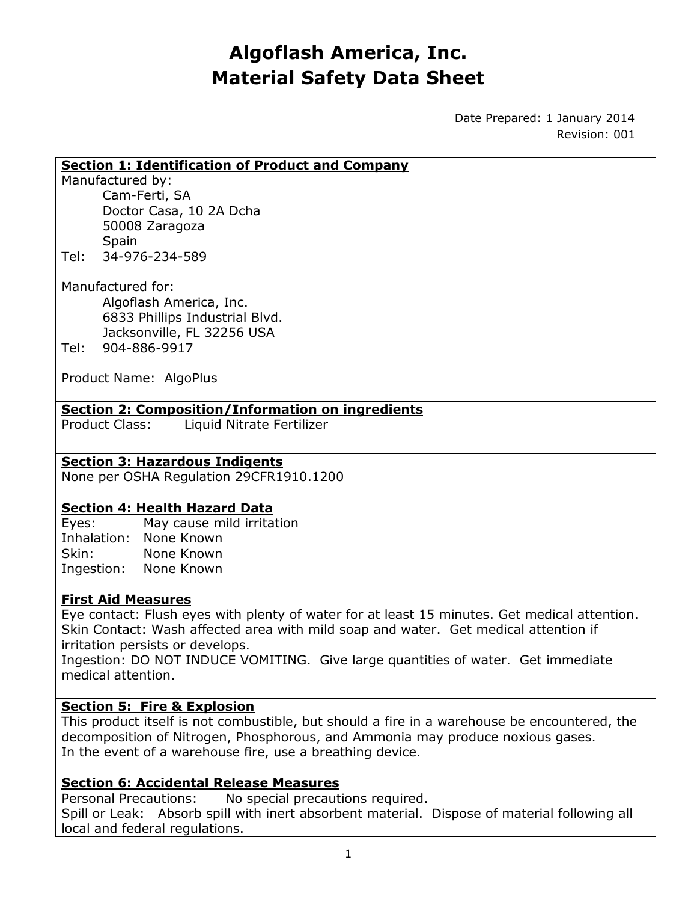# **Algoflash America, Inc. Material Safety Data Sheet**

Date Prepared: 1 January 2014 Revision: 001

#### **Section 1: Identification of Product and Company**

Manufactured by:

Cam-Ferti, SA Doctor Casa, 10 2A Dcha 50008 Zaragoza **Spain** Tel: 34-976-234-589

Manufactured for: Algoflash America, Inc. 6833 Phillips Industrial Blvd. Jacksonville, FL 32256 USA Tel: 904-886-9917

Product Name: AlgoPlus

### **Section 2: Composition/Information on ingredients**

Product Class: Liquid Nitrate Fertilizer

# **Section 3: Hazardous Indigents**

None per OSHA Regulation 29CFR1910.1200

### **Section 4: Health Hazard Data**

Eyes: May cause mild irritation Inhalation: None Known Skin: None Known Ingestion: None Known

### **First Aid Measures**

Eye contact: Flush eyes with plenty of water for at least 15 minutes. Get medical attention. Skin Contact: Wash affected area with mild soap and water. Get medical attention if irritation persists or develops.

Ingestion: DO NOT INDUCE VOMITING. Give large quantities of water. Get immediate medical attention.

### **Section 5: Fire & Explosion**

This product itself is not combustible, but should a fire in a warehouse be encountered, the decomposition of Nitrogen, Phosphorous, and Ammonia may produce noxious gases. In the event of a warehouse fire, use a breathing device.

### **Section 6: Accidental Release Measures**

Personal Precautions: No special precautions required.

Spill or Leak: Absorb spill with inert absorbent material. Dispose of material following all local and federal regulations.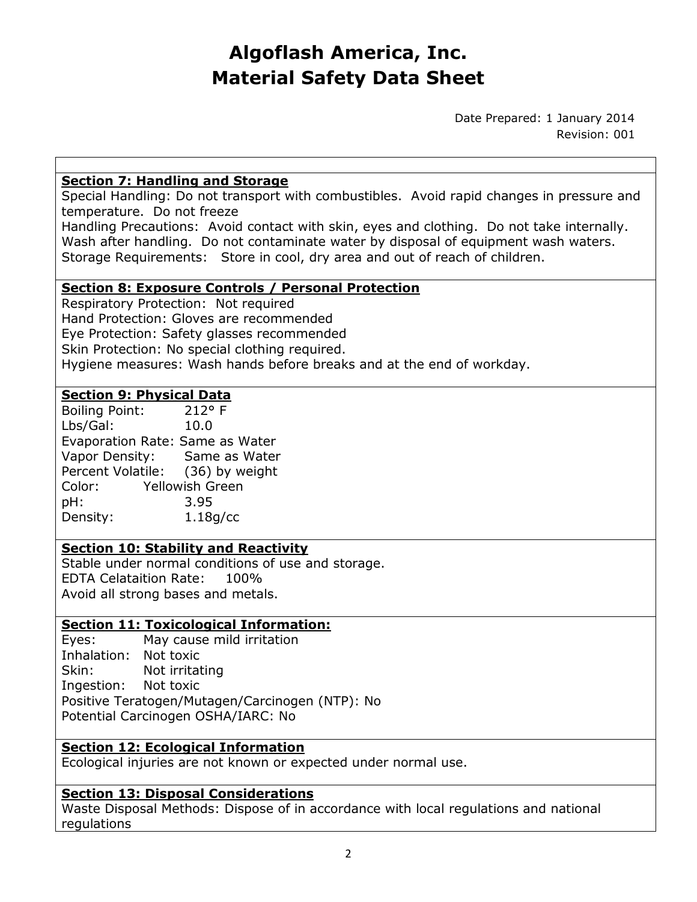# **Algoflash America, Inc. Material Safety Data Sheet**

Date Prepared: 1 January 2014 Revision: 001

## **Section 7: Handling and Storage**

Special Handling: Do not transport with combustibles. Avoid rapid changes in pressure and temperature. Do not freeze

Handling Precautions: Avoid contact with skin, eyes and clothing. Do not take internally. Wash after handling. Do not contaminate water by disposal of equipment wash waters. Storage Requirements: Store in cool, dry area and out of reach of children.

## **Section 8: Exposure Controls / Personal Protection**

Respiratory Protection: Not required Hand Protection: Gloves are recommended Eye Protection: Safety glasses recommended Skin Protection: No special clothing required. Hygiene measures: Wash hands before breaks and at the end of workday.

## **Section 9: Physical Data**

| <b>Boiling Point:</b>            | $212°$ F               |
|----------------------------------|------------------------|
| Lbs/Gal:                         | 10.0                   |
| Evaporation Rate: Same as Water  |                        |
| Vapor Density:                   | Same as Water          |
| Percent Volatile: (36) by weight |                        |
| Color:                           | <b>Yellowish Green</b> |
| pH:                              | 3.95                   |
| Density:                         | 1.18q/cc               |

## **Section 10: Stability and Reactivity**

Stable under normal conditions of use and storage. EDTA Celataition Rate: 100% Avoid all strong bases and metals.

# **Section 11: Toxicological Information:**

Eyes: May cause mild irritation Inhalation: Not toxic Skin: Not irritating Ingestion: Not toxic Positive Teratogen/Mutagen/Carcinogen (NTP): No Potential Carcinogen OSHA/IARC: No

# **Section 12: Ecological Information**

Ecological injuries are not known or expected under normal use.

# **Section 13: Disposal Considerations**

Waste Disposal Methods: Dispose of in accordance with local regulations and national regulations